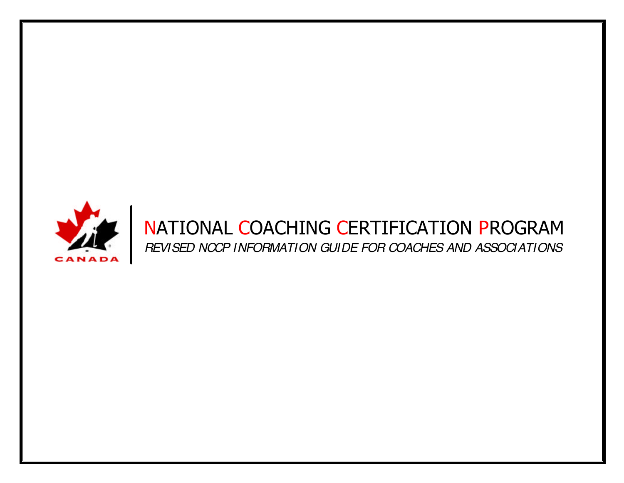

## NATIONAL COACHING CERTIFICATION PROGRAM *REVISED NCCP INFORMATION GUIDE FOR COACHES AND ASSOCIATIONS*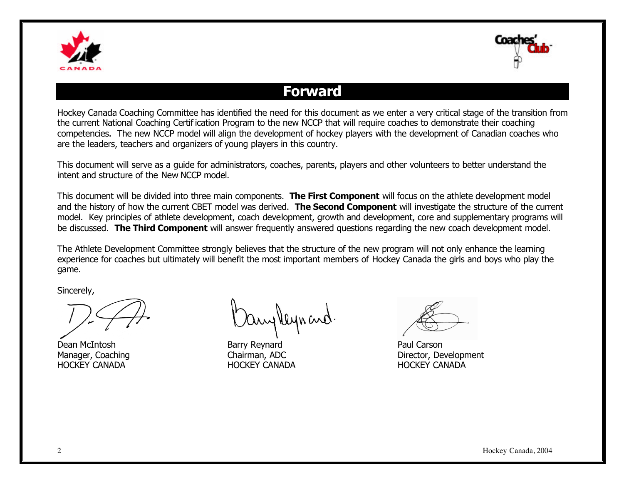



## **Forward**

Hockey Canada Coaching Committee has identified the need for this document as we enter a very critical stage of the transition from the current National Coaching Certif ication Program to the new NCCP that will require coaches to demonstrate their coaching competencies. The new NCCP model will align the development of hockey players with the development of Canadian coaches who are the leaders, teachers and organizers of young players in this country.

This document will serve as a guide for administrators, coaches, parents, players and other volunteers to better understand the intent and structure of the New NCCP model.

This document will be divided into three main components. **The First Component** will focus on the athlete development model and the history of how the current CBET model was derived. **The Second Component** will investigate the structure of the current model. Key principles of athlete development, coach development, growth and development, core and supplementary programs will be discussed. **The Third Component** will answer frequently answered questions regarding the new coach development model.

The Athlete Development Committee strongly believes that the structure of the new program will not only enhance the learning experience for coaches but ultimately will benefit the most important members of Hockey Canada the girls and boys who play the game.

Sincerely,

Dean McIntosh Barry Reynard Paul Carson HOCKEY CANADA HOCKEY CANADA HOCKEY CANADA

any Veyn and

Manager, Coaching **Chairman, ADC** Director, Development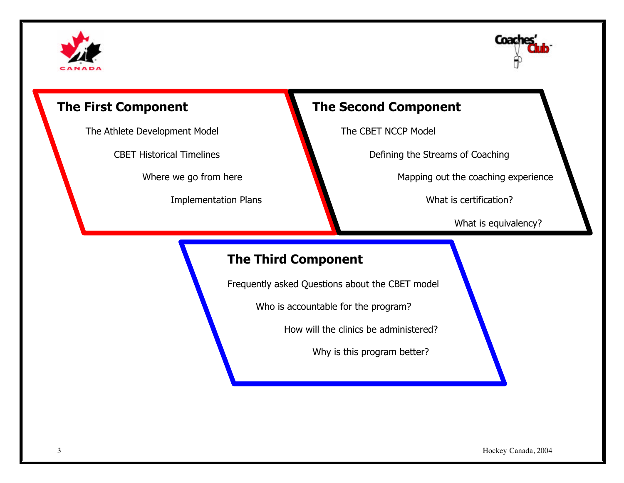



The Athlete Development Model The CBET NCCP Model

## **The First Component The Second Component**

CBET Historical Timelines **Defining the Streams of Coaching** 

Where we go from here Mapping out the coaching experience

Implementation Plans What is certification?

What is equivalency?

## **The Third Component**

Frequently asked Questions about the CBET model

Who is accountable for the program?

How will the clinics be administered?

Why is this program better?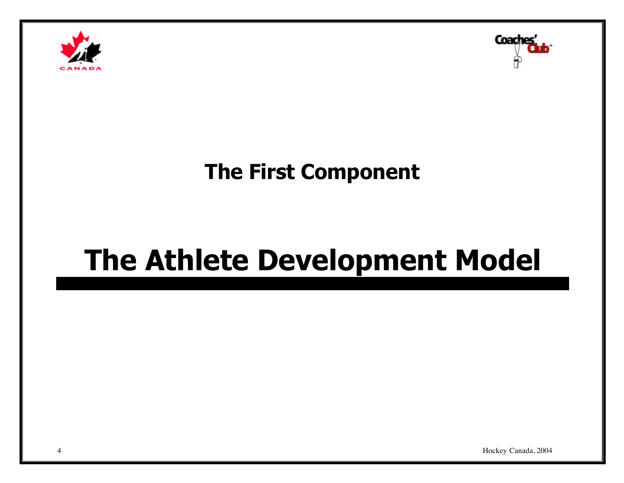



## **The First Component**

# **The Athlete Development Model**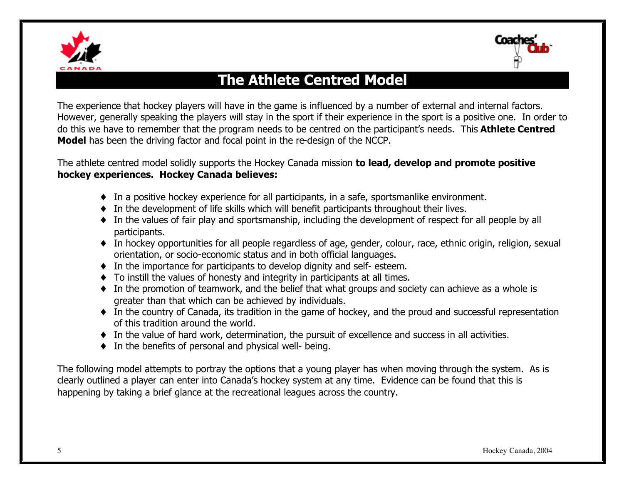



֦

## **The Athlete Centred Model**

The experience that hockey players will have in the game is influenced by a number of external and internal factors. However, generally speaking the players will stay in the sport if their experience in the sport is a positive one. In order to do this we have to remember that the program needs to be centred on the participant's needs. This **Athlete Centred Model** has been the driving factor and focal point in the re-design of the NCCP.

The athlete centred model solidly supports the Hockey Canada mission **to lead, develop and promote positive hockey experiences. Hockey Canada believes:**

- ♦ In a positive hockey experience for all participants, in a safe, sportsmanlike environment.
- ♦ In the development of life skills which will benefit participants throughout their lives.
- ♦ In the values of fair play and sportsmanship, including the development of respect for all people by all participants.
- ♦ In hockey opportunities for all people regardless of age, gender, colour, race, ethnic origin, religion, sexual orientation, or socio-economic status and in both official languages.
- ♦ In the importance for participants to develop dignity and self- esteem.
- ♦ To instill the values of honesty and integrity in participants at all times.
- ♦ In the promotion of teamwork, and the belief that what groups and society can achieve as a whole is greater than that which can be achieved by individuals.
- ♦ In the country of Canada, its tradition in the game of hockey, and the proud and successful representation of this tradition around the world.
- ♦ In the value of hard work, determination, the pursuit of excellence and success in all activities.
- ♦ In the benefits of personal and physical well- being.

The following model attempts to portray the options that a young player has when moving through the system. As is clearly outlined a player can enter into Canada's hockey system at any time. Evidence can be found that this is happening by taking a brief glance at the recreational leagues across the country.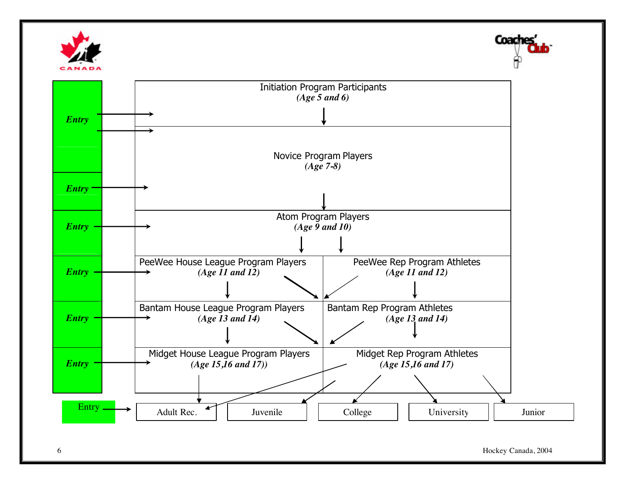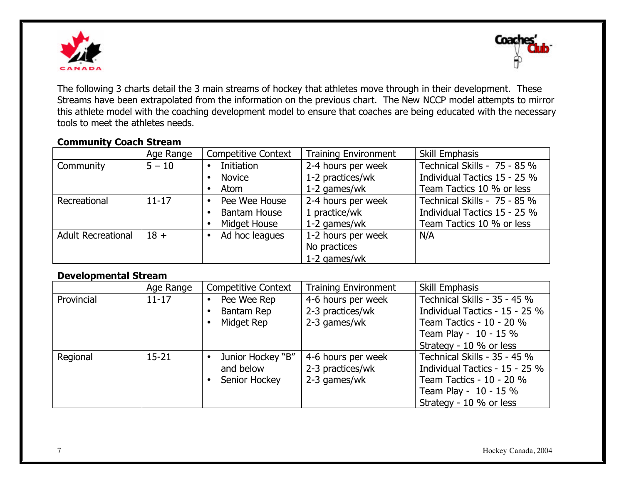



The following 3 charts detail the 3 main streams of hockey that athletes move through in their development. These Streams have been extrapolated from the information on the previous chart. The New NCCP model attempts to mirror this athlete model with the coaching development model to ensure that coaches are being educated with the necessary tools to meet the athletes needs.

#### **Community Coach Stream**

|                           | Age Range | <b>Competitive Context</b> | <b>Training Environment</b> | Skill Emphasis               |
|---------------------------|-----------|----------------------------|-----------------------------|------------------------------|
| Community                 | $5 - 10$  | Initiation<br>$\bullet$    | 2-4 hours per week          | Technical Skills - 75 - 85 % |
|                           |           | <b>Novice</b>              | 1-2 practices/wk            | Individual Tactics 15 - 25 % |
|                           |           | Atom                       | $1-2$ games/wk              | Team Tactics 10 % or less    |
| Recreational              | $11 - 17$ | Pee Wee House              | 2-4 hours per week          | Technical Skills - 75 - 85 % |
|                           |           | <b>Bantam House</b>        | 1 practice/wk               | Individual Tactics 15 - 25 % |
|                           |           | Midget House               | 1-2 games/wk                | Team Tactics 10 % or less    |
| <b>Adult Recreational</b> | $18 +$    | Ad hoc leagues             | 1-2 hours per week          | N/A                          |
|                           |           |                            | No practices                |                              |
|                           |           |                            | 1-2 games/wk                |                              |

### **Developmental Stream**

|            | Age Range | <b>Competitive Context</b> | <b>Training Environment</b> | Skill Emphasis                 |
|------------|-----------|----------------------------|-----------------------------|--------------------------------|
| Provincial | $11 - 17$ | Pee Wee Rep                | 4-6 hours per week          | Technical Skills - 35 - 45 %   |
|            |           | Bantam Rep                 | 2-3 practices/wk            | Individual Tactics - 15 - 25 % |
|            |           | Midget Rep                 | 2-3 games/wk                | Team Tactics - 10 - 20 %       |
|            |           |                            |                             | Team Play - 10 - 15 %          |
|            |           |                            |                             | Strategy - 10 % or less        |
| Regional   | $15 - 21$ | Junior Hockey "B"          | 4-6 hours per week          | Technical Skills - 35 - 45 %   |
|            |           | and below                  | 2-3 practices/wk            | Individual Tactics - 15 - 25 % |
|            |           | Senior Hockey              | 2-3 games/wk                | Team Tactics - 10 - 20 %       |
|            |           |                            |                             | Team Play - 10 - 15 %          |
|            |           |                            |                             | Strategy - 10 % or less        |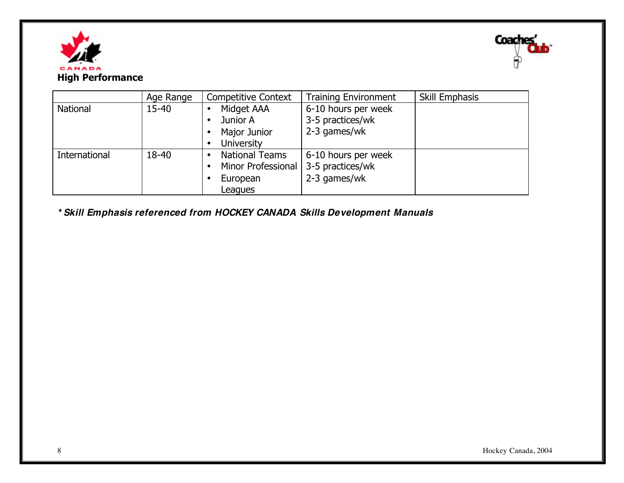



|               | Age Range | <b>Competitive Context</b> | <b>Training Environment</b> | Skill Emphasis |
|---------------|-----------|----------------------------|-----------------------------|----------------|
| National      | $15 - 40$ | Midget AAA                 | 6-10 hours per week         |                |
|               |           | Junior A                   | 3-5 practices/wk            |                |
|               |           | Major Junior               | 2-3 games/wk                |                |
|               |           | <b>University</b><br>٠     |                             |                |
| International | 18-40     | <b>National Teams</b>      | 6-10 hours per week         |                |
|               |           | Minor Professional         | 3-5 practices/wk            |                |
|               |           | European                   | 2-3 games/wk                |                |
|               |           | Leagues                    |                             |                |

*\* Skill Emphasis referenced from HOCKEY CANADA Skills Development Manuals*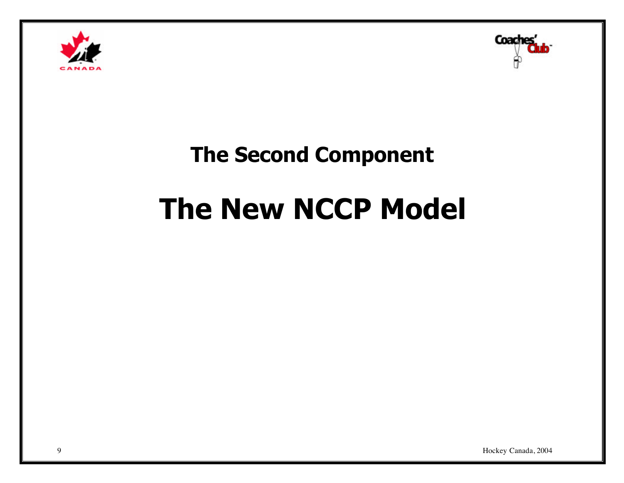



## **The Second Component**

# **The New NCCP Model**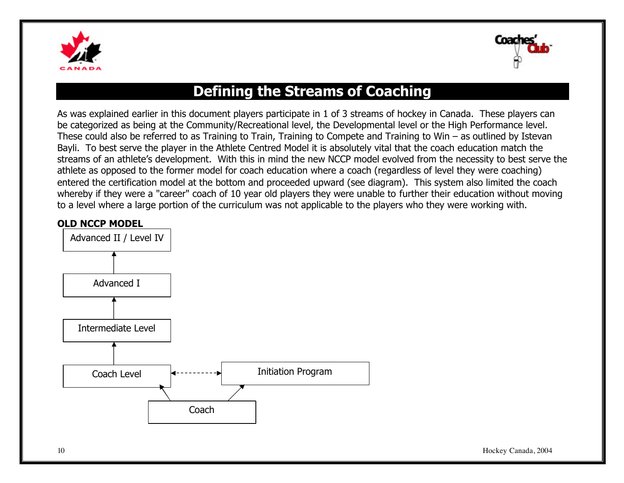



## **Defining the Streams of Coaching**

As was explained earlier in this document players participate in 1 of 3 streams of hockey in Canada. These players can be categorized as being at the Community/Recreational level, the Developmental level or the High Performance level. These could also be referred to as Training to Train, Training to Compete and Training to Win – as outlined by Istevan Bayli. To best serve the player in the Athlete Centred Model it is absolutely vital that the coach education match the streams of an athlete's development. With this in mind the new NCCP model evolved from the necessity to best serve the athlete as opposed to the former model for coach education where a coach (regardless of level they were coaching) entered the certification model at the bottom and proceeded upward (see diagram). This system also limited the coach whereby if they were a "career" coach of 10 year old players they were unable to further their education without moving to a level where a large portion of the curriculum was not applicable to the players who they were working with.

#### **OLD NCCP MODEL**

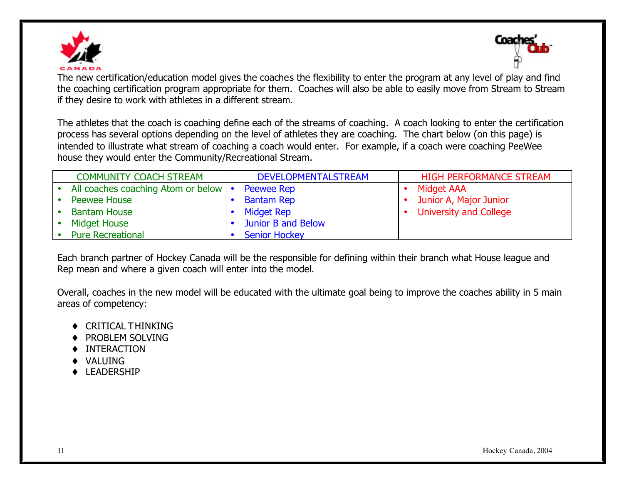



The new certification/education model gives the coaches the flexibility to enter the program at any level of play and find the coaching certification program appropriate for them. Coaches will also be able to easily move from Stream to Stream if they desire to work with athletes in a different stream.

The athletes that the coach is coaching define each of the streams of coaching. A coach looking to enter the certification process has several options depending on the level of athletes they are coaching. The chart below (on this page) is intended to illustrate what stream of coaching a coach would enter. For example, if a coach were coaching PeeWee house they would enter the Community/Recreational Stream.

|           | <b>COMMUNITY COACH STREAM</b>          | <b>DEVELOPMENTALSTREAM</b> | <b>HIGH PERFORMANCE STREAM</b> |
|-----------|----------------------------------------|----------------------------|--------------------------------|
| $\bullet$ | All coaches coaching Atom or below   • | <b>Peewee Rep</b>          | Midget AAA                     |
|           | Peewee House                           | <b>Bantam Rep</b>          | Junior A, Major Junior         |
| $\bullet$ | <b>Bantam House</b>                    | Midget Rep                 | <b>University and College</b>  |
| $\bullet$ | <b>Midget House</b>                    | Junior B and Below         |                                |
|           | <b>Pure Recreational</b>               | <b>Senior Hockey</b>       |                                |

Each branch partner of Hockey Canada will be the responsible for defining within their branch what House league and Rep mean and where a given coach will enter into the model.

Overall, coaches in the new model will be educated with the ultimate goal being to improve the coaches ability in 5 main areas of competency:

- ♦ CRITICAL THINKING
- ♦ PROBLEM SOLVING
- ♦ INTERACTION
- ♦ VALUING
- ♦ LEADERSHIP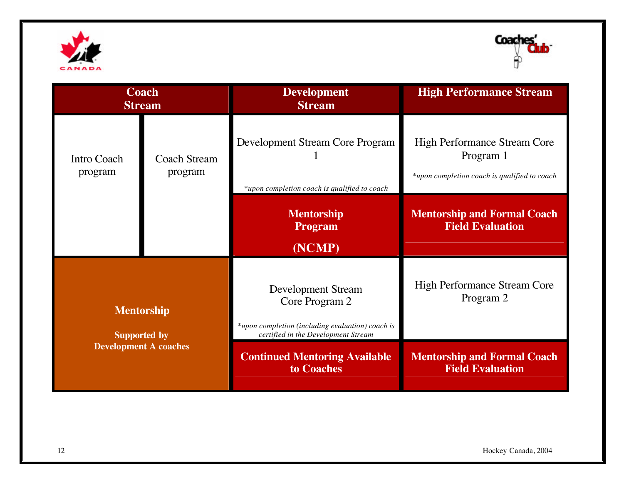



| <b>Coach</b><br><b>Stream</b>                                            |  | <b>Development</b><br><b>Stream</b>                                                                                                    | <b>High Performance Stream</b>                                                                   |
|--------------------------------------------------------------------------|--|----------------------------------------------------------------------------------------------------------------------------------------|--------------------------------------------------------------------------------------------------|
| Intro Coach<br><b>Coach Stream</b><br>program<br>program                 |  | Development Stream Core Program<br>*upon completion coach is qualified to coach                                                        | <b>High Performance Stream Core</b><br>Program 1<br>*upon completion coach is qualified to coach |
|                                                                          |  | <b>Mentorship</b><br><b>Program</b><br>(NCMP)                                                                                          | <b>Mentorship and Formal Coach</b><br><b>Field Evaluation</b>                                    |
| <b>Mentorship</b><br><b>Supported by</b><br><b>Development A coaches</b> |  | <b>Development Stream</b><br>Core Program 2<br>*upon completion (including evaluation) coach is<br>certified in the Development Stream | <b>High Performance Stream Core</b><br>Program 2                                                 |
|                                                                          |  | <b>Continued Mentoring Available</b><br>to Coaches                                                                                     | <b>Mentorship and Formal Coach</b><br><b>Field Evaluation</b>                                    |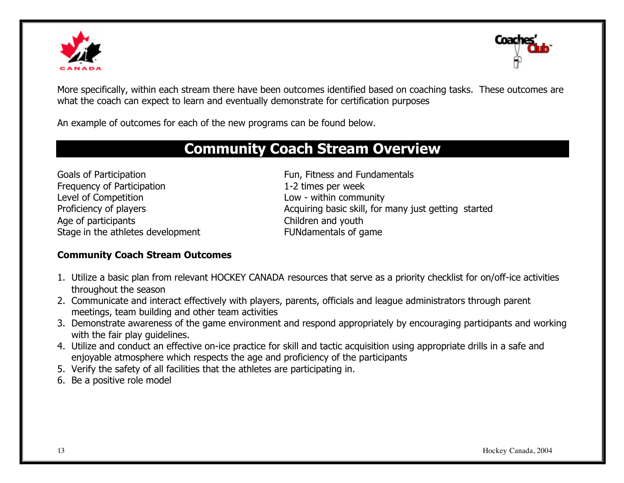



More specifically, within each stream there have been outcomes identified based on coaching tasks. These outcomes are what the coach can expect to learn and eventually demonstrate for certification purposes

An example of outcomes for each of the new programs can be found below.

## **Community Coach Stream Overview**

Goals of Participation **Fundamentals** Fun, Fitness and Fundamentals Frequency of Participation 1-2 times per week Level of Competition **Level of Competition** Age of participants Age of participants Children and youth Stage in the athletes development FUNdamentals of game

Proficiency of players **Acquiring basic skill**, for many just getting started

#### **Community Coach Stream Outcomes**

- 1. Utilize a basic plan from relevant HOCKEY CANADA resources that serve as a priority checklist for on/off-ice activities throughout the season
- 2. Communicate and interact effectively with players, parents, officials and league administrators through parent meetings, team building and other team activities
- 3. Demonstrate awareness of the game environment and respond appropriately by encouraging participants and working with the fair play guidelines.
- 4. Utilize and conduct an effective on-ice practice for skill and tactic acquisition using appropriate drills in a safe and enjoyable atmosphere which respects the age and proficiency of the participants
- 5. Verify the safety of all facilities that the athletes are participating in.
- 6. Be a positive role model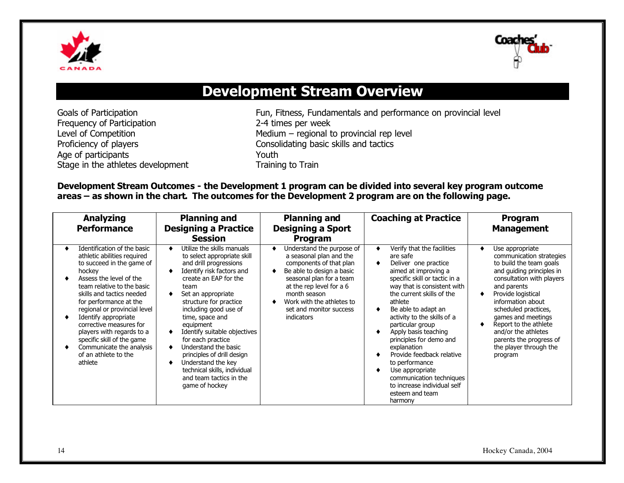



## **Development Stream Overview**

Frequency of Participation 2-4 times per week Age of participants<br>
Stage in the athletes development<br>
Training to Train Stage in the athletes development

Goals of Participation Fun, Fitness, Fundamentals and performance on provincial level Level of Competition **Medium** – regional to provincial rep level Proficiency of players **Consolidating basic skills and tactics** 

#### **Development Stream Outcomes - the Development 1 program can be divided into several key program outcome areas – as shown in the chart. The outcomes for the Development 2 program are on the following page.**

| <b>Analyzing</b><br><b>Performance</b>                                                                                                                                                                                                                                                                                                                                                                                         | <b>Planning and</b><br><b>Designing a Practice</b>                                                                                                                                                                                                                                                                                                                                                                                                                       | <b>Planning and</b><br><b>Designing a Sport</b>                                                                                                                                                                                                                   | <b>Coaching at Practice</b>                                                                                                                                                                                                                                                                                                                                                                                                                                                                           | Program<br><b>Management</b>                                                                                                                                                                                                                                                                                                                             |
|--------------------------------------------------------------------------------------------------------------------------------------------------------------------------------------------------------------------------------------------------------------------------------------------------------------------------------------------------------------------------------------------------------------------------------|--------------------------------------------------------------------------------------------------------------------------------------------------------------------------------------------------------------------------------------------------------------------------------------------------------------------------------------------------------------------------------------------------------------------------------------------------------------------------|-------------------------------------------------------------------------------------------------------------------------------------------------------------------------------------------------------------------------------------------------------------------|-------------------------------------------------------------------------------------------------------------------------------------------------------------------------------------------------------------------------------------------------------------------------------------------------------------------------------------------------------------------------------------------------------------------------------------------------------------------------------------------------------|----------------------------------------------------------------------------------------------------------------------------------------------------------------------------------------------------------------------------------------------------------------------------------------------------------------------------------------------------------|
|                                                                                                                                                                                                                                                                                                                                                                                                                                | <b>Session</b>                                                                                                                                                                                                                                                                                                                                                                                                                                                           | <b>Program</b>                                                                                                                                                                                                                                                    |                                                                                                                                                                                                                                                                                                                                                                                                                                                                                                       |                                                                                                                                                                                                                                                                                                                                                          |
| Identification of the basic<br>athletic abilities required<br>to succeed in the game of<br>hockey<br>Assess the level of the<br>team relative to the basic<br>skills and tactics needed<br>for performance at the<br>regional or provincial level<br>Identify appropriate<br>corrective measures for<br>players with regards to a<br>specific skill of the game<br>Communicate the analysis<br>of an athlete to the<br>athlete | Utilize the skills manuals<br>to select appropriate skill<br>and drill progressions<br>Identify risk factors and<br>create an EAP for the<br>team<br>Set an appropriate<br>structure for practice<br>including good use of<br>time, space and<br>equipment<br>Identify suitable objectives<br>for each practice<br>Understand the basic<br>principles of drill design<br>Understand the key<br>technical skills, individual<br>and team tactics in the<br>game of hockey | Understand the purpose of<br>a seasonal plan and the<br>components of that plan<br>Be able to design a basic<br>seasonal plan for a team<br>at the rep level for a 6<br>month season<br>Work with the athletes to<br>set and monitor success<br><i>indicators</i> | Verify that the facilities<br>are safe<br>Deliver one practice<br>aimed at improving a<br>specific skill or tactic in a<br>way that is consistent with<br>the current skills of the<br>athlete<br>Be able to adapt an<br>activity to the skills of a<br>particular group<br>Apply basis teaching<br>principles for demo and<br>explanation<br>Provide feedback relative<br>to performance<br>Use appropriate<br>communication techniques<br>to increase individual self<br>esteem and team<br>harmony | Use appropriate<br>communication strategies<br>to build the team goals<br>and guiding principles in<br>consultation with players<br>and parents<br>Provide logistical<br>information about<br>scheduled practices,<br>games and meetings<br>Report to the athlete<br>and/or the athletes<br>parents the progress of<br>the player through the<br>program |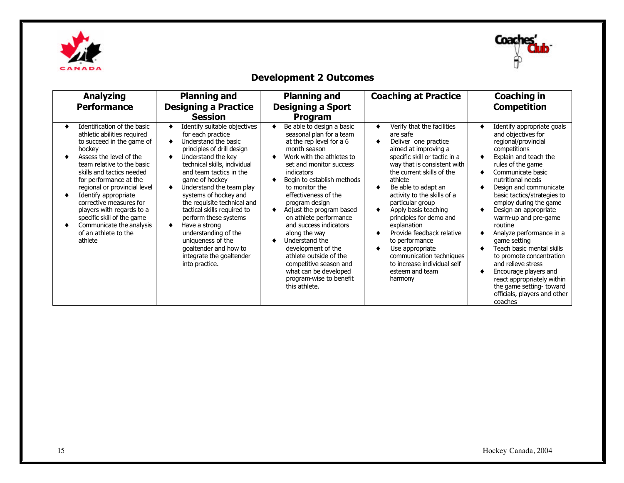



### **Development 2 Outcomes**

| <b>Analyzing</b><br><b>Performance</b>                                                                                                                                                                                                                                                                                                                                                                                         | <b>Planning and</b><br><b>Designing a Practice</b><br><b>Session</b>                                                                                                                                                                                                                                                                                                                                                                                                                        | <b>Planning and</b><br><b>Designing a Sport</b><br>Program                                                                                                                                                                                                                                                                                                                                                                                                                                                                          | <b>Coaching at Practice</b>                                                                                                                                                                                                                                                                                                                                                                                                                                                                           | <b>Coaching in</b><br><b>Competition</b>                                                                                                                                                                                                                                                                                                                                                                                                                                                                                                                                               |
|--------------------------------------------------------------------------------------------------------------------------------------------------------------------------------------------------------------------------------------------------------------------------------------------------------------------------------------------------------------------------------------------------------------------------------|---------------------------------------------------------------------------------------------------------------------------------------------------------------------------------------------------------------------------------------------------------------------------------------------------------------------------------------------------------------------------------------------------------------------------------------------------------------------------------------------|-------------------------------------------------------------------------------------------------------------------------------------------------------------------------------------------------------------------------------------------------------------------------------------------------------------------------------------------------------------------------------------------------------------------------------------------------------------------------------------------------------------------------------------|-------------------------------------------------------------------------------------------------------------------------------------------------------------------------------------------------------------------------------------------------------------------------------------------------------------------------------------------------------------------------------------------------------------------------------------------------------------------------------------------------------|----------------------------------------------------------------------------------------------------------------------------------------------------------------------------------------------------------------------------------------------------------------------------------------------------------------------------------------------------------------------------------------------------------------------------------------------------------------------------------------------------------------------------------------------------------------------------------------|
| Identification of the basic<br>athletic abilities required<br>to succeed in the game of<br>hockey<br>Assess the level of the<br>team relative to the basic<br>skills and tactics needed<br>for performance at the<br>regional or provincial level<br>Identify appropriate<br>corrective measures for<br>players with regards to a<br>specific skill of the game<br>Communicate the analysis<br>of an athlete to the<br>athlete | Identify suitable objectives<br>for each practice<br>Understand the basic<br>principles of drill design<br>Understand the key<br>technical skills, individual<br>and team tactics in the<br>game of hockey<br>Understand the team play<br>systems of hockey and<br>the requisite technical and<br>tactical skills required to<br>perform these systems<br>Have a strong<br>understanding of the<br>uniqueness of the<br>goaltender and how to<br>integrate the goaltender<br>into practice. | Be able to design a basic<br>seasonal plan for a team<br>at the rep level for a 6<br>month season<br>Work with the athletes to<br>set and monitor success<br>indicators<br>Begin to establish methods<br>to monitor the<br>effectiveness of the<br>program design<br>Adjust the program based<br>on athlete performance<br>and success indicators<br>along the way<br>Understand the<br>development of the<br>athlete outside of the<br>competitive season and<br>what can be developed<br>program-wise to benefit<br>this athlete. | Verify that the facilities<br>are safe<br>Deliver one practice<br>aimed at improving a<br>specific skill or tactic in a<br>way that is consistent with<br>the current skills of the<br>athlete<br>Be able to adapt an<br>activity to the skills of a<br>particular group<br>Apply basis teaching<br>principles for demo and<br>explanation<br>Provide feedback relative<br>to performance<br>Use appropriate<br>communication techniques<br>to increase individual self<br>esteem and team<br>harmony | Identify appropriate goals<br>and objectives for<br>regional/provincial<br>competitions<br>Explain and teach the<br>rules of the game<br>Communicate basic<br>nutritional needs<br>Design and communicate<br>basic tactics/strategies to<br>employ during the game<br>Design an appropriate<br>warm-up and pre-game<br>routine<br>Analyze performance in a<br>game setting<br>Teach basic mental skills<br>to promote concentration<br>and relieve stress<br>Encourage players and<br>react appropriately within<br>the game setting-toward<br>officials, players and other<br>coaches |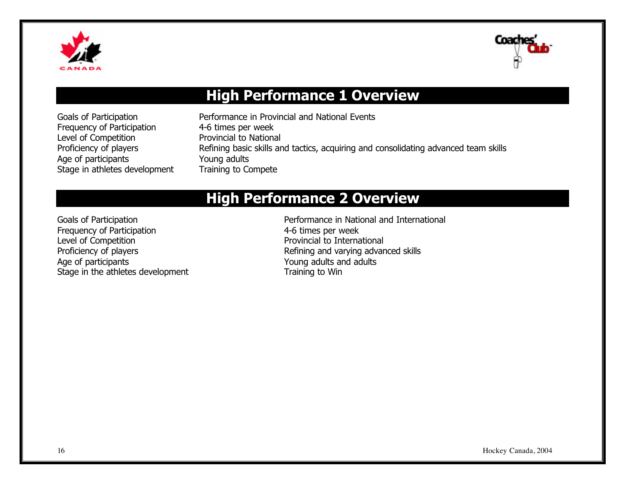



## **High Performance 1 Overview**

Frequency of Participation 4-6 times per week Level of Competition **Provincial to National** Age of participants **Young adults** Stage in athletes development Training to Compete

Goals of Participation **Performance in Provincial and National Events** Proficiency of players Refining basic skills and tactics, acquiring and consolidating advanced team skills

## **High Performance 2 Overview**

Frequency of Participation<br>
Level of Competition<br>
Level of Competition Age of participants **Age of participants** Age of participants **Age of participants** Age of participants **Age of participants** Age of participants **Age of participants** Age of participants **Age of participants** Age of parti Stage in the athletes development Training to Win

Goals of Participation **Performance in National and International** Provincial to International Proficiency of players **Refining and varying advanced skills**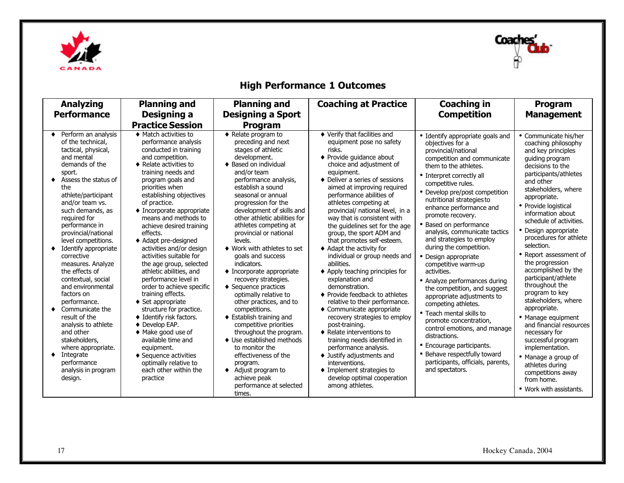



### **High Performance 1 Outcomes**

| <b>Analyzing</b><br><b>Performance</b>                                                                                                                                                                                                                                                                                                                                                                                                                                                                                                                                                                                              | <b>Planning and</b><br>Designing a                                                                                                                                                                                                                                                                                                                                                                                                                                                                                                                                                                                                                                                                                                                                                                                             | <b>Planning and</b><br><b>Designing a Sport</b>                                                                                                                                                                                                                                                                                                                                                                                                                                                                                                                                                                                                                                                                                                                                                                                          | <b>Coaching at Practice</b>                                                                                                                                                                                                                                                                                                                                                                                                                                                                                                                                                                                                                                                                                                                                                                                                                                                                                                                                      | <b>Coaching in</b><br><b>Competition</b>                                                                                                                                                                                                                                                                                                                                                                                                                                                                                                                                                                                                                                                                                                                                                                                                | Program<br><b>Management</b>                                                                                                                                                                                                                                                                                                                                                                                                                                                                                                                                                                                                                                                                                            |
|-------------------------------------------------------------------------------------------------------------------------------------------------------------------------------------------------------------------------------------------------------------------------------------------------------------------------------------------------------------------------------------------------------------------------------------------------------------------------------------------------------------------------------------------------------------------------------------------------------------------------------------|--------------------------------------------------------------------------------------------------------------------------------------------------------------------------------------------------------------------------------------------------------------------------------------------------------------------------------------------------------------------------------------------------------------------------------------------------------------------------------------------------------------------------------------------------------------------------------------------------------------------------------------------------------------------------------------------------------------------------------------------------------------------------------------------------------------------------------|------------------------------------------------------------------------------------------------------------------------------------------------------------------------------------------------------------------------------------------------------------------------------------------------------------------------------------------------------------------------------------------------------------------------------------------------------------------------------------------------------------------------------------------------------------------------------------------------------------------------------------------------------------------------------------------------------------------------------------------------------------------------------------------------------------------------------------------|------------------------------------------------------------------------------------------------------------------------------------------------------------------------------------------------------------------------------------------------------------------------------------------------------------------------------------------------------------------------------------------------------------------------------------------------------------------------------------------------------------------------------------------------------------------------------------------------------------------------------------------------------------------------------------------------------------------------------------------------------------------------------------------------------------------------------------------------------------------------------------------------------------------------------------------------------------------|-----------------------------------------------------------------------------------------------------------------------------------------------------------------------------------------------------------------------------------------------------------------------------------------------------------------------------------------------------------------------------------------------------------------------------------------------------------------------------------------------------------------------------------------------------------------------------------------------------------------------------------------------------------------------------------------------------------------------------------------------------------------------------------------------------------------------------------------|-------------------------------------------------------------------------------------------------------------------------------------------------------------------------------------------------------------------------------------------------------------------------------------------------------------------------------------------------------------------------------------------------------------------------------------------------------------------------------------------------------------------------------------------------------------------------------------------------------------------------------------------------------------------------------------------------------------------------|
|                                                                                                                                                                                                                                                                                                                                                                                                                                                                                                                                                                                                                                     | <b>Practice Session</b>                                                                                                                                                                                                                                                                                                                                                                                                                                                                                                                                                                                                                                                                                                                                                                                                        | Program                                                                                                                                                                                                                                                                                                                                                                                                                                                                                                                                                                                                                                                                                                                                                                                                                                  |                                                                                                                                                                                                                                                                                                                                                                                                                                                                                                                                                                                                                                                                                                                                                                                                                                                                                                                                                                  |                                                                                                                                                                                                                                                                                                                                                                                                                                                                                                                                                                                                                                                                                                                                                                                                                                         |                                                                                                                                                                                                                                                                                                                                                                                                                                                                                                                                                                                                                                                                                                                         |
| Perform an analysis<br>of the technical,<br>tactical, physical,<br>and mental<br>demands of the<br>sport.<br>Assess the status of<br>٠<br>the<br>athlete/participant<br>and/or team vs.<br>such demands, as<br>required for<br>performance in<br>provincial/national<br>level competitions.<br>Identify appropriate<br>corrective<br>measures. Analyze<br>the effects of<br>contextual, social<br>and environmental<br>factors on<br>performance.<br>Communicate the<br>result of the<br>analysis to athlete<br>and other<br>stakeholders,<br>where appropriate.<br>Integrate<br>٠<br>performance<br>analysis in program<br>design. | $\bullet$ Match activities to<br>performance analysis<br>conducted in training<br>and competition.<br>$\bullet$ Relate activities to<br>training needs and<br>program goals and<br>priorities when<br>establishing objectives<br>of practice.<br>$\bullet$ Incorporate appropriate<br>means and methods to<br>achieve desired training<br>effects.<br>◆ Adapt pre-designed<br>activities and/or design<br>activities suitable for<br>the age group, selected<br>athletic abilities, and<br>performance level in<br>order to achieve specific<br>training effects.<br>$\triangleleft$ Set appropriate<br>structure for practice.<br>♦ Identify risk factors.<br>◆ Develop EAP.<br>◆ Make good use of<br>available time and<br>equipment.<br>◆ Sequence activities<br>optimally relative to<br>each other within the<br>practice | ◆ Relate program to<br>preceding and next<br>stages of athletic<br>development.<br>♦ Based on individual<br>and/or team<br>performance analysis,<br>establish a sound<br>seasonal or annual<br>progression for the<br>development of skills and<br>other athletic abilities for<br>athletes competing at<br>provincial or national<br>levels.<br>♦ Work with athletes to set<br>goals and success<br>indicators.<br>$\bullet$ Incorporate appropriate<br>recovery strategies.<br>$\triangle$ Sequence practices<br>optimally relative to<br>other practices, and to<br>competitions.<br>♦ Establish training and<br>competitive priorities<br>throughout the program.<br>♦ Use established methods<br>to monitor the<br>effectiveness of the<br>program.<br>$\blacklozenge$ Adjust program to<br>achieve peak<br>performance at selected | ♦ Verify that facilities and<br>equipment pose no safety<br>risks.<br>◆ Provide quidance about<br>choice and adjustment of<br>equipment.<br>♦ Deliver a series of sessions<br>aimed at improving required<br>performance abilities of<br>athletes competing at<br>provincial/ national level, in a<br>way that is consistent with<br>the quidelines set for the age<br>group, the sport ADM and<br>that promotes self-esteem.<br>♦ Adapt the activity for<br>individual or group needs and<br>abilities.<br>◆ Apply teaching principles for<br>explanation and<br>demonstration.<br>♦ Provide feedback to athletes<br>relative to their performance.<br>◆ Communicate appropriate<br>recovery strategies to employ<br>post-training.<br>$\bullet$ Relate interventions to<br>training needs identified in<br>performance analysis.<br>• Justify adjustments and<br>interventions.<br>• Implement strategies to<br>develop optimal cooperation<br>among athletes. | • Identify appropriate goals and<br>objectives for a<br>provincial/national<br>competition and communicate<br>them to the athletes.<br>• Interpret correctly all<br>competitive rules.<br>• Develop pre/post competition<br>nutritional strategies to<br>enhance performance and<br>promote recovery.<br>• Based on performance<br>analysis, communicate tactics<br>and strategies to employ<br>during the competition.<br>• Design appropriate<br>competitive warm-up<br>activities.<br>• Analyze performances during<br>the competition, and suggest<br>appropriate adjustments to<br>competing athletes.<br>• Teach mental skills to<br>promote concentration,<br>control emotions, and manage<br>distractions.<br>• Encourage participants.<br>• Behave respectfully toward<br>participants, officials, parents,<br>and spectators. | • Communicate his/her<br>coaching philosophy<br>and key principles<br>guiding program<br>decisions to the<br>participants/athletes<br>and other<br>stakeholders, where<br>appropriate.<br>• Provide logistical<br>information about<br>schedule of activities.<br>• Design appropriate<br>procedures for athlete<br>selection.<br>• Report assessment of<br>the progression<br>accomplished by the<br>participant/athlete<br>throughout the<br>program to key<br>stakeholders, where<br>appropriate.<br>• Manage equipment<br>and financial resources<br>necessary for<br>successful program<br>implementation.<br>• Manage a group of<br>athletes during<br>competitions away<br>from home.<br>• Work with assistants. |
|                                                                                                                                                                                                                                                                                                                                                                                                                                                                                                                                                                                                                                     |                                                                                                                                                                                                                                                                                                                                                                                                                                                                                                                                                                                                                                                                                                                                                                                                                                | times.                                                                                                                                                                                                                                                                                                                                                                                                                                                                                                                                                                                                                                                                                                                                                                                                                                   |                                                                                                                                                                                                                                                                                                                                                                                                                                                                                                                                                                                                                                                                                                                                                                                                                                                                                                                                                                  |                                                                                                                                                                                                                                                                                                                                                                                                                                                                                                                                                                                                                                                                                                                                                                                                                                         |                                                                                                                                                                                                                                                                                                                                                                                                                                                                                                                                                                                                                                                                                                                         |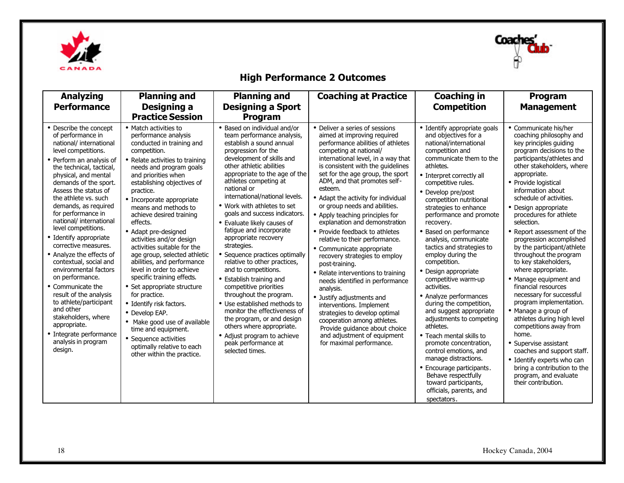



### **High Performance 2 Outcomes**

| <b>Analyzing</b><br><b>Performance</b>                                                                                                                                                                                                                                                                                                                                                                                                                                                                                                                                                                                                                                                               | <b>Planning and</b><br>Designing a<br><b>Practice Session</b>                                                                                                                                                                                                                                                                                                                                                                                                                                                                                                                                                                                                                                                                                                                 | <b>Planning and</b><br><b>Designing a Sport</b><br><b>Program</b>                                                                                                                                                                                                                                                                                                                                                                                                                                                                                                                                                                                                                                                                                                                                                                 | <b>Coaching at Practice</b>                                                                                                                                                                                                                                                                                                                                                                                                                                                                                                                                                                                                                                                                                                                                                                                                                                                                       | <b>Coaching in</b><br><b>Competition</b>                                                                                                                                                                                                                                                                                                                                                                                                                                                                                                                                                                                                                                                                                                                                                                                                                | Program<br><b>Management</b>                                                                                                                                                                                                                                                                                                                                                                                                                                                                                                                                                                                                                                                                                                                                                                                                                                 |
|------------------------------------------------------------------------------------------------------------------------------------------------------------------------------------------------------------------------------------------------------------------------------------------------------------------------------------------------------------------------------------------------------------------------------------------------------------------------------------------------------------------------------------------------------------------------------------------------------------------------------------------------------------------------------------------------------|-------------------------------------------------------------------------------------------------------------------------------------------------------------------------------------------------------------------------------------------------------------------------------------------------------------------------------------------------------------------------------------------------------------------------------------------------------------------------------------------------------------------------------------------------------------------------------------------------------------------------------------------------------------------------------------------------------------------------------------------------------------------------------|-----------------------------------------------------------------------------------------------------------------------------------------------------------------------------------------------------------------------------------------------------------------------------------------------------------------------------------------------------------------------------------------------------------------------------------------------------------------------------------------------------------------------------------------------------------------------------------------------------------------------------------------------------------------------------------------------------------------------------------------------------------------------------------------------------------------------------------|---------------------------------------------------------------------------------------------------------------------------------------------------------------------------------------------------------------------------------------------------------------------------------------------------------------------------------------------------------------------------------------------------------------------------------------------------------------------------------------------------------------------------------------------------------------------------------------------------------------------------------------------------------------------------------------------------------------------------------------------------------------------------------------------------------------------------------------------------------------------------------------------------|---------------------------------------------------------------------------------------------------------------------------------------------------------------------------------------------------------------------------------------------------------------------------------------------------------------------------------------------------------------------------------------------------------------------------------------------------------------------------------------------------------------------------------------------------------------------------------------------------------------------------------------------------------------------------------------------------------------------------------------------------------------------------------------------------------------------------------------------------------|--------------------------------------------------------------------------------------------------------------------------------------------------------------------------------------------------------------------------------------------------------------------------------------------------------------------------------------------------------------------------------------------------------------------------------------------------------------------------------------------------------------------------------------------------------------------------------------------------------------------------------------------------------------------------------------------------------------------------------------------------------------------------------------------------------------------------------------------------------------|
| • Describe the concept<br>of performance in<br>national/ international<br>level competitions.<br>• Perform an analysis of<br>the technical, tactical,<br>physical, and mental<br>demands of the sport.<br>Assess the status of<br>the athlete vs. such<br>demands, as required<br>for performance in<br>national/ international<br>level competitions.<br>• Identify appropriate<br>corrective measures.<br>• Analyze the effects of<br>contextual, social and<br>environmental factors<br>on performance.<br>• Communicate the<br>result of the analysis<br>to athlete/participant<br>and other<br>stakeholders, where<br>appropriate.<br>• Integrate performance<br>analysis in program<br>design. | • Match activities to<br>performance analysis<br>conducted in training and<br>competition.<br>• Relate activities to training<br>needs and program goals<br>and priorities when<br>establishing objectives of<br>practice.<br>• Incorporate appropriate<br>means and methods to<br>achieve desired training<br>effects.<br>• Adapt pre-designed<br>activities and/or design<br>activities suitable for the<br>age group, selected athletic<br>abilities, and performance<br>level in order to achieve<br>specific training effects.<br>• Set appropriate structure<br>for practice.<br>• Identify risk factors.<br>• Develop EAP.<br>• Make good use of available<br>time and equipment.<br>• Sequence activities<br>optimally relative to each<br>other within the practice. | • Based on individual and/or<br>team performance analysis,<br>establish a sound annual<br>progression for the<br>development of skills and<br>other athletic abilities<br>appropriate to the age of the<br>athletes competing at<br>national or<br>international/national levels.<br>• Work with athletes to set<br>goals and success indicators.<br>• Evaluate likely causes of<br>fatigue and incorporate<br>appropriate recovery<br>strategies.<br>• Sequence practices optimally<br>relative to other practices,<br>and to competitions.<br>• Establish training and<br>competitive priorities<br>throughout the program.<br>• Use established methods to<br>monitor the effectiveness of<br>the program, or and design<br>others where appropriate.<br>• Adjust program to achieve<br>peak performance at<br>selected times. | • Deliver a series of sessions<br>aimed at improving required<br>performance abilities of athletes<br>competing at national/<br>international level, in a way that<br>is consistent with the guidelines<br>set for the age group, the sport<br>ADM, and that promotes self-<br>esteem.<br>• Adapt the activity for individual<br>or group needs and abilities.<br>• Apply teaching principles for<br>explanation and demonstration<br>• Provide feedback to athletes<br>relative to their performance.<br>• Communicate appropriate<br>recovery strategies to employ<br>post-training.<br>• Relate interventions to training<br>needs identified in performance<br>analysis.<br>• Justify adjustments and<br>interventions. Implement<br>strategies to develop optimal<br>cooperation among athletes.<br>Provide guidance about choice<br>and adjustment of equipment<br>for maximal performance. | • Identify appropriate goals<br>and objectives for a<br>national/international<br>competition and<br>communicate them to the<br>athletes.<br>• Interpret correctly all<br>competitive rules.<br>• Develop pre/post<br>competition nutritional<br>strategies to enhance<br>performance and promote<br>recovery.<br>• Based on performance<br>analysis, communicate<br>tactics and strategies to<br>employ during the<br>competition.<br>• Design appropriate<br>competitive warm-up<br>activities.<br>• Analyze performances<br>during the competition,<br>and suggest appropriate<br>adjustments to competing<br>athletes.<br>• Teach mental skills to<br>promote concentration,<br>control emotions, and<br>manage distractions.<br>• Encourage participants.<br>Behave respectfully<br>toward participants,<br>officials, parents, and<br>spectators. | • Communicate his/her<br>coaching philosophy and<br>key principles guiding<br>program decisions to the<br>participants/athletes and<br>other stakeholders, where<br>appropriate.<br>• Provide logistical<br>information about<br>schedule of activities.<br>• Design appropriate<br>procedures for athlete<br>selection.<br>• Report assessment of the<br>progression accomplished<br>by the participant/athlete<br>throughout the program<br>to key stakeholders,<br>where appropriate.<br>• Manage equipment and<br>financial resources<br>necessary for successful<br>program implementation.<br>• Manage a group of<br>athletes during high level<br>competitions away from<br>home.<br>• Supervise assistant<br>coaches and support staff.<br>• Identify experts who can<br>bring a contribution to the<br>program, and evaluate<br>their contribution. |